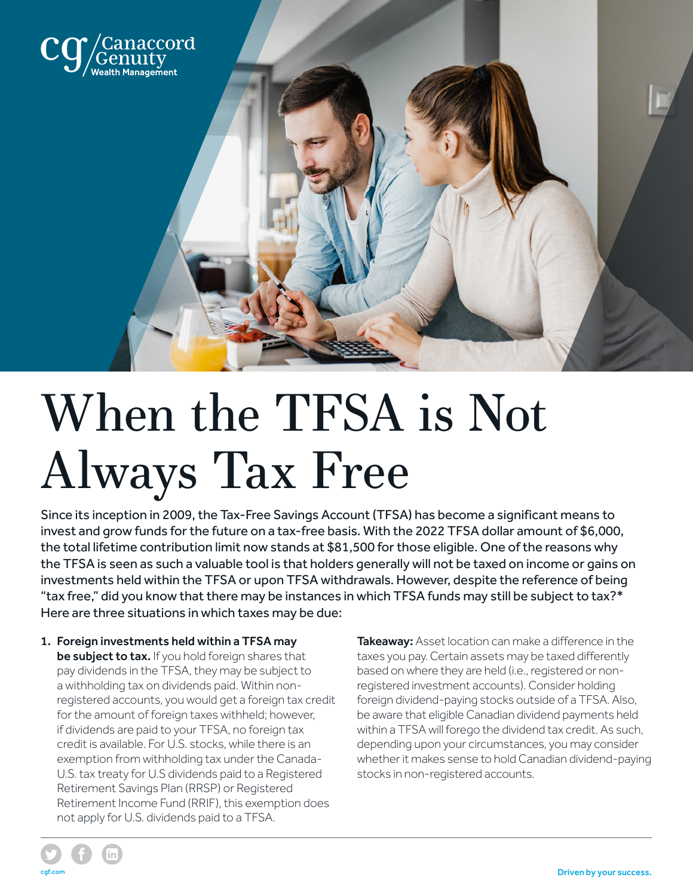

## When the TFSA is Not Always Tax Free

Since its inception in 2009, the Tax-Free Savings Account (TFSA) has become a significant means to invest and grow funds for the future on a tax-free basis. With the 2022 TFSA dollar amount of \$6,000, the total lifetime contribution limit now stands at \$81,500 for those eligible. One of the reasons why the TFSA is seen as such a valuable tool is that holders generally will not be taxed on income or gains on investments held within the TFSA or upon TFSA withdrawals. However, despite the reference of being "tax free," did you know that there may be instances in which TFSA funds may still be subject to tax?\* Here are three situations in which taxes may be due:

1. Foreign investments held within a TFSA may be subject to tax. If you hold foreign shares that pay dividends in the TFSA, they may be subject to a withholding tax on dividends paid. Within nonregistered accounts, you would get a foreign tax credit for the amount of foreign taxes withheld; however, if dividends are paid to your TFSA, no foreign tax credit is available. For U.S. stocks, while there is an exemption from withholding tax under the Canada-U.S. tax treaty for U.S dividends paid to a Registered Retirement Savings Plan (RRSP) or Registered Retirement Income Fund (RRIF), this exemption does not apply for U.S. dividends paid to a TFSA.

Takeaway: Asset location can make a difference in the taxes you pay. Certain assets may be taxed differently based on where they are held (i.e., registered or nonregistered investment accounts). Consider holding foreign dividend-paying stocks outside of a TFSA. Also, be aware that eligible Canadian dividend payments held within a TFSA will forego the dividend tax credit. As such, depending upon your circumstances, you may consider whether it makes sense to hold Canadian dividend-paying stocks in non-registered accounts.